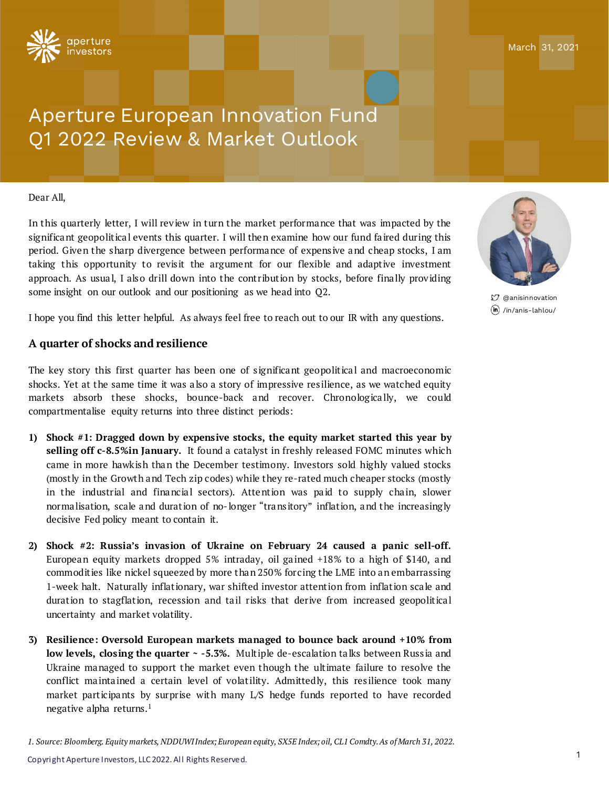

# Aperture European Innovation Fund Q1 2022 Review & Market Outlook

#### Dear All,

In this quarterly letter, I will review in turn the market performance that was impacted by the significant geopolitical events this quarter. I will then examine how our fund faired during this period. Given the sharp divergence between performance of expensive and cheap stocks, I am taking this opportunity to revisit the argument for our flexible and adaptive investment approach. As usual, I also drill down into the contribution by stocks, before finally providing some insight on our outlook and our positioning as we head into Q2.

I hope you find this letter helpful. As always feel free to reach out to our IR with any questions.

## **A quarter of shocks and resilience**

The key story this first quarter has been one of significant geopolitical and macroeconomic shocks. Yet at the same time it was a lso a story of impressive res ilience, as we watched equity markets absorb these shocks, bounce-back and recover. Chronologically, we could compartmentalise equity returns into three distinct periods:

- **1) Shock #1: Dragged down by expensive stocks, the equity market started this year by selling off c-8.5%in January.** It found a catalyst in freshly released FOMC minutes which came in more hawk ish than the December testimony. Investors sold highly valued stocks (mostly in the Growth and Tech zip codes) while they re-rated much cheaper stocks (mostly in the industrial and financial sectors). Attention was paid to supply chain, slower norma lisation, scale and duration of no-longer "transitory" inflation, and the increasingly decisive Fed policy meant to contain it.
- **2) Shock #2: Russia's invasion of Ukraine on February 24 caused a panic sell-off.** European equity markets dropped 5% intraday, oil gained  $+18\%$  to a high of \$140, and commodit ies like nickel squeezed by more than 250% forcing the LME into an embarrassing 1-week halt. Naturally inflat ionary, war shifted investor attent ion from inflat ion sca le and duration to stagflation, recession and tail risks that derive from increased geopolitical uncertainty and market volatility.
- **3) Resilience: Oversold European markets managed to bounce back around +10% from low levels, closing the quarter ~ -5.3%.** Mult iple de-escalation ta lks between Russ ia and Ukraine managed to support the market even though the ult imate failure to resolve the conflict maintained a certain level of volatility. Admittedly, this resilience took many market participants by surprise with many L/S hedge funds reported to have recorded negative alpha returns. 1





 $$7$  @anisinnovation /in/anis-lahlou/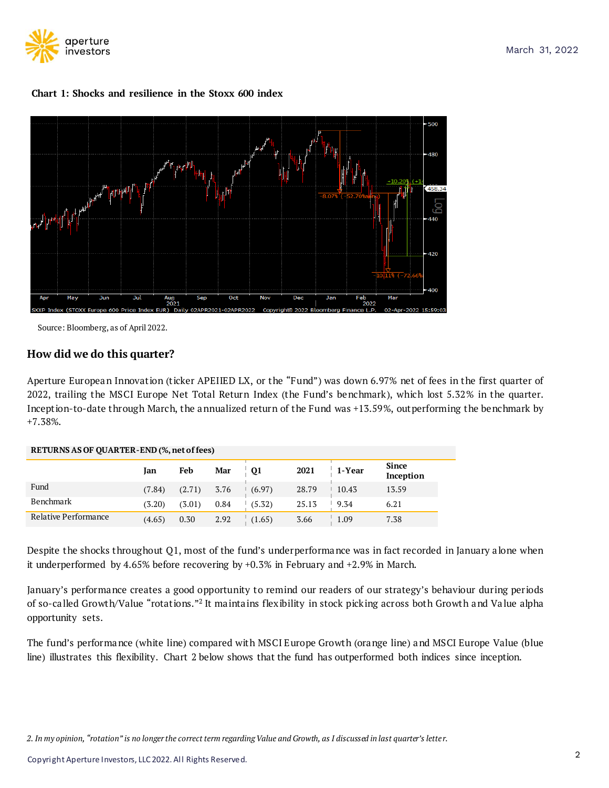





Source: Bloomberg, as of April 2022.

## **How did we do this quarter?**

Aperture European Innovation (ticker APEIIED LX, or the "Fund") was down 6.97% net of fees in the first quarter of 2022, trailing the MSCI Europe Net Total Return Index (the Fund's benchmark ), which lost 5.32% in the quarter. Incept ion-to-date through March, the annualized return of the Fund was +13.59%, outperforming the benchmark by +7.38%.

| RETURNS AS OF OUARTER-END (%, net of fees) |        |                 |      |           |       |        |                           |
|--------------------------------------------|--------|-----------------|------|-----------|-------|--------|---------------------------|
|                                            | Jan    | Feb             | Mar  | <b>Q1</b> | 2021  | 1-Year | <b>Since</b><br>Inception |
| Fund                                       | (7.84) | $(2.71)$ $3.76$ |      | (6.97)    | 28.79 | 10.43  | 13.59                     |
| Benchmark                                  | (3.20) | (3.01)          | 0.84 | (5.32)    | 25.13 | 9.34   | 6.21                      |
| Relative Performance                       | (4.65) | 0.30            | 2.92 | (1.65)    | 3.66  | 1.09   | 7.38                      |

#### **RETURNS AS OF QUARTER-END (%,netoffees)**

Despite the shocks throughout Q1, most of the fund's underperformance was in fact recorded in January a lone when it underperformed by 4.65% before recovering by +0.3% in February and +2.9% in March.

January's performance creates a good opportunity to remind our readers of our strategy's behaviour during periods of so-called Growth/Value "rotations."<sup>2</sup> It maintains flexibility in stock picking across both Growth and Value alpha opportunity sets.

The fund's performance (white line) compared with MSCI Europe Growth (orange line) and MSCI Europe Value (blue line) illustrates this flexibility. Chart 2 below shows that the fund has outperformed both indices since inception.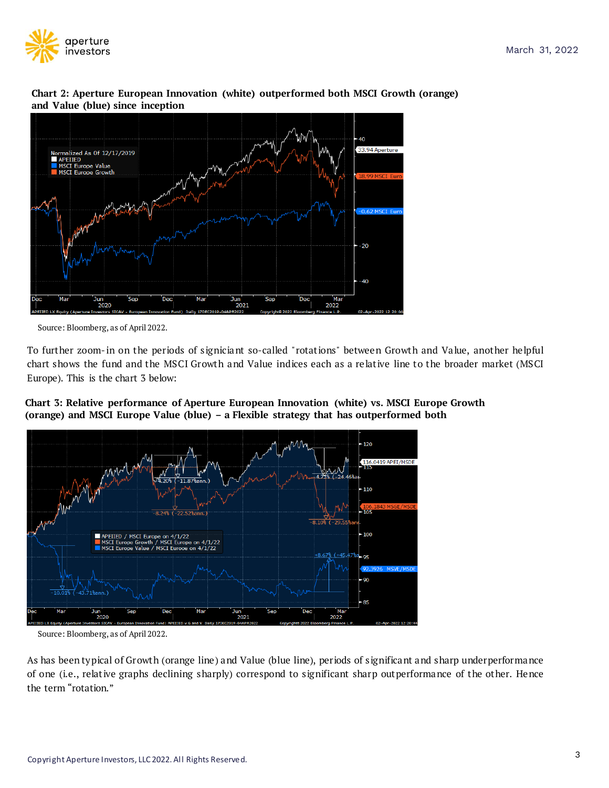

**Chart 2: Aperture European Innovation (white) outperformed both MSCI Growth (orange) and Value (blue) since inception**



Source: Bloomberg, as of April 2022.

To further zoom- in on the periods of signiciant so-called "rotations" between Growth and Value, another helpful chart shows the fund and the MSCI Growth and Value indices each as a re lat ive line to the broader market (MSCI Europe). This is the chart 3 below:





Source: Bloomberg, as of April 2022.

As has been typical of Growth (orange line ) and Value (blue line), periods of s ignificant and sharp underperformance of one (i.e., relative graphs declining sharply) correspond to significant sharp outperformance of the other. Hence the term "rotation."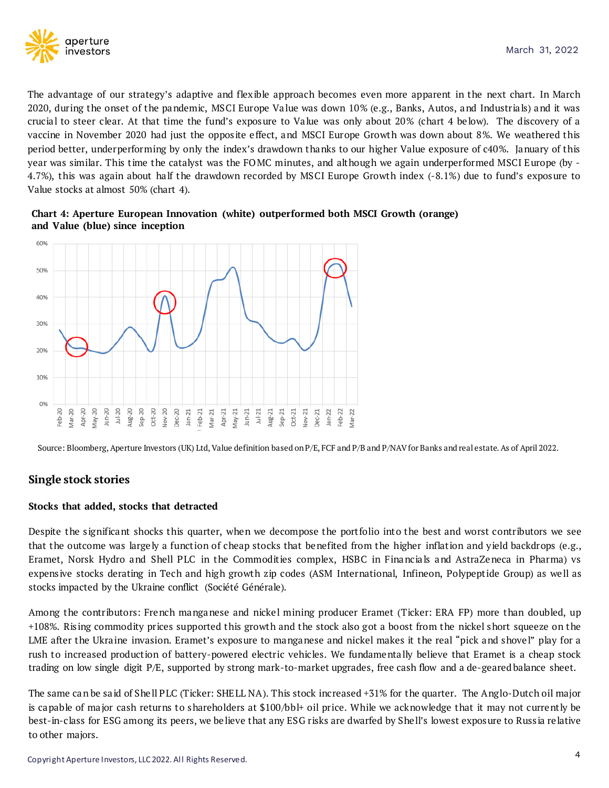

The advantage of our strategy's adaptive and flex ible approach becomes even more apparent in the next chart. In March 2020, during the onset of the pandemic, MSCI Europe Va lue was down 10% (e.g., Banks, Autos, and Industria ls) and it was crucia l to steer clear. At that time the fund's exposure to Va lue was only about 20% (chart 4 be low). The discovery of a vaccine in November 2020 had just the oppos ite e ffect, and MSCI Europe Growth was down about 8%. We weathered this period better, underperforming by only the index's drawdown thanks to our higher Value exposure of c40%. January of this year was similar. This time the catalyst was the FOMC minutes, and although we again underperformed MSCI Europe (by -4.7%), this was again about ha lf the drawdown recorded by MSCI Europe Growth index (-8.1%) due to fund's exposure to Value stocks at almost 50% (chart 4).





Source: Bloomberg,Aperture Investors (UK) Ltd, Value definition based onP/E, FCF and P/B and P/NAVfor Banks and real estate. As of April 2022.

## **Single stock stories**

## **Stocks that added, stocks that detracted**

Despite the significant shocks this quarter, when we decompose the portfolio into the best and worst contributors we see that the outcome was largely a function of cheap stocks that benefited from the higher inflation and yield backdrops (e.g., Eramet, Norsk Hydro and Shell PLC in the Commodit ies complex, HSBC in Financia ls and AstraZeneca in Pharma) vs expensive stocks derating in Tech and high growth zip codes (ASM International, Infineon, Polypeptide Group) as well as stocks impacted by the Ukraine conflict (Société Générale).

Among the contributors: French manganese and nickel mining producer Eramet (Ticker: ERA FP) more than doubled, up +108%. Ris ing commodity pr ices supported this growth and the stock also got a boost from the nickel short squeeze on the LME after the Ukraine invasion. Eramet's exposure to manganese and nickel makes it the real "pick and shovel" play for a rush to increased production of battery-powered electric vehicles. We fundamentally believe that Eramet is a cheap stock trading on low single digit P/E, supported by strong mark-to-market upgrades, free cash flow and a de-geared balance sheet.

The same can be said of Shell PLC (Ticker: SHELL NA). This stock increased +31% for the quarter. The Anglo-Dutch oil major is capable of major cash returns to shareholders at \$100/bbl+ oil price. While we acknowledge that it may not currently be best-in-class for ESG among its peers, we be lieve that any ESG risks are dwarfed by She ll's lowest exposure to Russ ia re lative to other majors.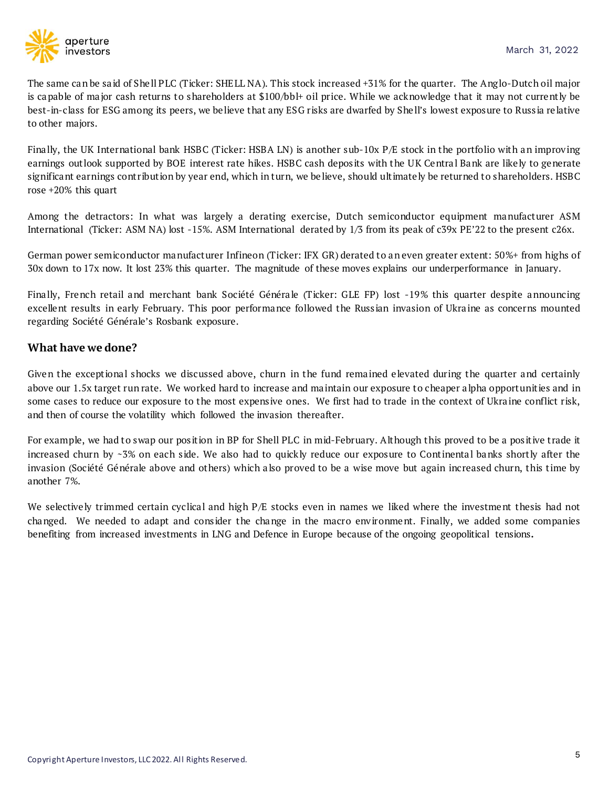

The same can be said of Shell PLC (Ticker: SHELL NA). This stock increased +31% for the quarter. The Anglo-Dutch oil major is capable of major cash returns to shareholders at \$100/bbl+ oil price. While we acknowledge that it may not current ly be best-in-class for ESG among its peers, we be lieve that any ESG r isks are dwarfed by She ll's lowest exposure to Russ ia re lative to other majors.

Finally, the UK International bank HSBC (Ticker: HSBA LN) is another sub-10x  $P/E$  stock in the portfolio with an improving earnings out look supported by BOE interest rate hikes. HSBC cash deposits with the UK Central Bank are likely to generate significant earnings contribution by year end, which in turn, we be lieve, should ultimately be returned to shareholders. HSBC rose +20% this quart

Among the detractors: In what was largely a derating exercise, Dutch semiconductor equipment manufacturer ASM International (Ticker: ASM NA) lost -15%. ASM International derated by 1/3 from its peak of c39x PE'22 to the present c26x.

German power semiconductor manufacturer Infineon (Ticker: IFX GR) derated to an even greater extent: 50%+ from highs of 30x down to 17x now. It lost 23% this quarter. The magnitude of these moves explains our underperformance in January.

Fina lly, French retail and merchant bank Société Généra le (Ticker: GLE FP) lost -19% this quarter despite announcing excellent results in early February. This poor performance followed the Russ ian invasion of Ukra ine as concerns mounted regarding Société Générale's Rosbank exposure.

## **What have we done?**

Given the exceptional shocks we discussed above, churn in the fund remained elevated during the quarter and certainly above our 1.5x target run rate. We worked hard to increase and ma intain our exposure to cheaper a lpha opportunit ies and in some cases to reduce our exposure to the most expensive ones. We first had to trade in the context of Ukraine conflict risk, and then of course the volatility which followed the invasion thereafter.

For example, we had to swap our position in BP for Shell PLC in mid-February. Although this proved to be a positive trade it increased churn by ~3% on each side. We also had to quickly reduce our exposure to Continental banks shortly after the invasion (Société Générale above and others) which also proved to be a wise move but again increased churn, this time by another 7%.

We selectively trimmed certain cyclical and high  $P/E$  stocks even in names we liked where the investment thesis had not changed. We needed to adapt and cons ider the change in the macro env ironment. Finally, we added some companies benefiting from increased investments in LNG and Defence in Europe because of the ongoing geopolitical tensions**.**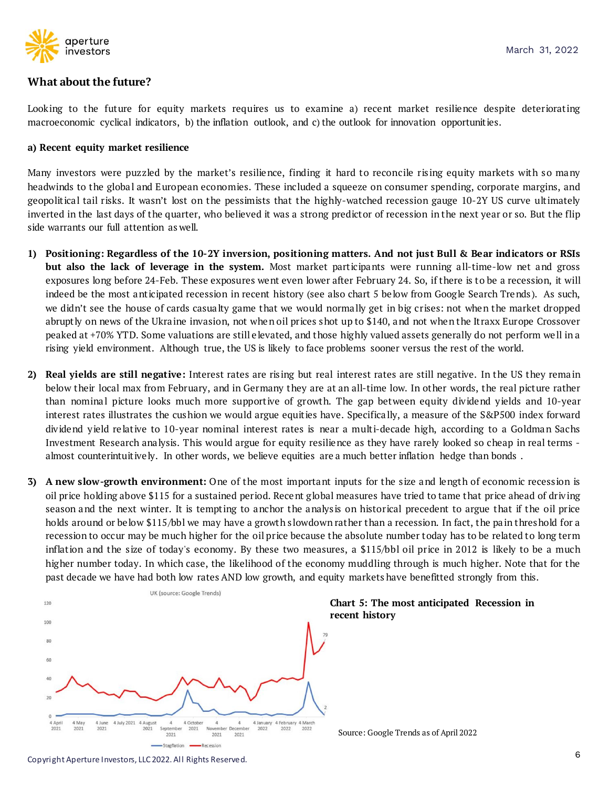

## **What about the future?**

Looking to the future for equity markets requires us to examine a) recent market resilience despite deteriorating macroeconomic cyclical indicators, b) the inflation outlook, and c) the outlook for innovation opportunit ies.

#### **a) Recent equity market resilience**

Many investors were puzzled by the market's resilience, finding it hard to reconcile ris ing equity markets with so many headwinds to the global and European economies. These included a squeeze on consumer spending, corporate margins, and geopolitical tail risks. It wasn't lost on the pessimists that the highly-watched recession gauge 10-2Y US curve ultimately inverted in the last days of the quarter, who believed it was a strong predictor of recession in the next year or so. But the flip side warrants our full attention as well.

- 1) Positioning: Regardless of the 10-2Y inversion, positioning matters. And not just Bull & Bear indicators or RSIs **but also the lack of leverage in the system.** Most market part icipants were running a ll-time-low net and gross exposures long before 24-Feb. These exposures went even lower after February 24. So, if there is to be a recession, it will indeed be the most anticipated recession in recent history (see also chart 5 below from Google Search Trends). As such, we didn't see the house of cards casualty game that we would normally get in big crises: not when the market dropped abruptly on news of the Ukraine invasion, not when oil prices shot up to \$140, and not when the Itraxx Europe Crossover peaked at +70% YTD. Some valuations are still e levated, and those highly valued assets generally do not perform we ll in a rising yield environment. Although true, the US is likely to face problems sooner versus the rest of the world.
- **2) Real yields are still negative:** Interest rates are ris ing but real interest rates are still negative. In the US they rema in below their local max from February, and in Germany they are at an all-time low. In other words, the real picture rather than nominal picture looks much more supportive of growth. The gap between equity dividend yields and 10-year interest rates illustrates the cushion we would argue equit ies have. Specifica lly, a measure of the S&P500 index forward dividend yield relative to 10-year nominal interest rates is near a multi-decade high, according to a Goldman Sachs Investment Research ana lysis. This would argue for equity resilience as they have rarely looked so cheap in real terms almost counterintuit ively. In other words, we believe equities are a much better inflation hedge than bonds.
- **3) A new slow-growth environment:** One of the most important inputs for the s ize and length of economic recess ion is oil price holding above \$115 for a sustained period. Recent global measures have tried to tame that price ahead of driving season and the next winter. It is tempting to anchor the analysis on historical precedent to argue that if the oil price holds around or be low \$115/bbl we may have a growth slowdown rather than a recession. In fact, the pain threshold for a recession to occur may be much higher for the oil price because the absolute number today has to be related to long term inflation and the size of today's economy. By these two measures, a \$115/bbl oil price in 2012 is likely to be a much higher number today. In which case, the likelihood of the economy muddling through is much higher. Note that for the past decade we have had both low rates AND low growth, and equity markets have benefitted strongly from this.



**Chart 5: The most anticipated Recession in** 

Source: Google Trends as of April 2022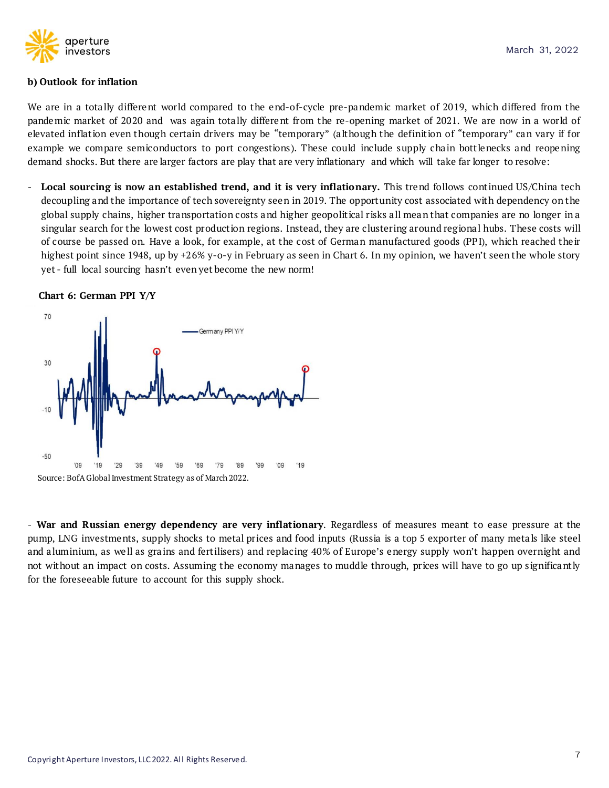

#### **b) Outlook for inflation**

We are in a totally different world compared to the end-of-cycle pre-pandemic market of 2019, which differed from the pandemic market of 2020 and was again totally different from the re-opening market of 2021. We are now in a world of elevated inflation even though certain drivers may be "temporary" (although the definition of "temporary" can vary if for example we compare semiconductors to port congestions ). These could include supply cha in bott lenecks and reopening demand shocks. But there are larger factors are play that are very inflationary and which will take far longer to resolve:

- **Local sourcing is now an established trend, and it is very inflationary.** This trend follows cont inued US/China tech decoupling and the importance of tech sovereignty seen in 2019. The opportunity cost associated with dependency on the global supply chains, higher transportation costs and higher geopolit ical r isks a ll mean that companies are no longer in a singular search for the lowest cost product ion regions. Instead, they are clustering around reg iona l hubs. These costs will of course be passed on. Have a look, for example, at the cost of German manufactured goods (PP I), which reached the ir highest point since 1948, up by +26% y-o-y in February as seen in Chart 6. In my opinion, we haven't seen the whole story yet - full local sourcing hasn't even yet become the new norm!

#### **Chart 6: German PPI Y/Y**



- **War and Russian energy dependency are very inflationary**. Regardless of measures meant to ease pressure at the pump, LNG investments, supply shocks to metal prices and food inputs (Russia is a top 5 exporter of many metals like steel and a luminium, as well as grains and fertilisers) and replacing 40% of Europe's energy supply won't happen overnight and not without an impact on costs. Assuming the economy manages to muddle through, prices will have to go up significantly for the foreseeable future to account for this supply shock.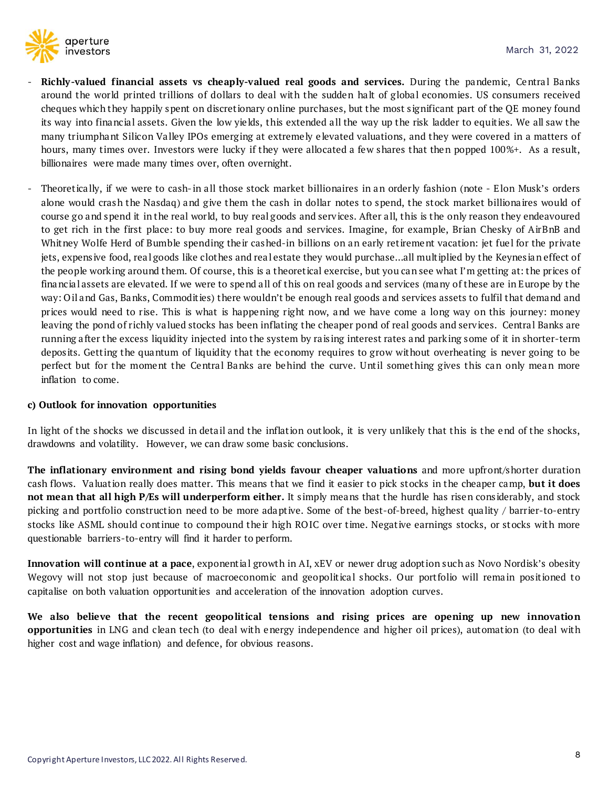

- **Richly-valued financial assets vs cheaply-valued real goods and services.** Dur ing the pandemic, Centra l Banks around the world printed trillions of dollars to deal with the sudden halt of global economies. US consumers received cheques which they happily spent on discret ionary online purchases, but the most s ignificant part of the QE money found its way into financial assets. Given the low yields, this extended all the way up the risk ladder to equities. We all saw the many triumphant Silicon Valley IPOs emerging at extremely elevated valuations, and they were covered in a matters of hours, many times over. Investors were lucky if they were allocated a few shares that then popped 100%+. As a result, billionaires were made many times over, often overnight.
- Theoretically, if we were to cash-in all those stock market billionaires in an orderly fashion (note Elon Musk's orders alone would crash the Nasdaq) and give them the cash in dollar notes to spend, the stock market billionaires would of course go and spend it in the real wor ld, to buy real goods and serv ices. After a ll, this is the only reason they endeavoured to get rich in the first place: to buy more real goods and services. Imagine, for example, Brian Chesky of AirBnB and Whitney Wolfe Herd of Bumble spending their cashed-in billions on an early retirement vacation: jet fuel for the private jets, expensive food, real goods like clothes and real estate they would purchase...all multiplied by the Keynesian effect of the people working around them. Of course, this is a theoretical exercise, but you can see what I'm getting at: the prices of financia l assets are elevated. If we were to spend a ll of this on real goods and services (many of these are in Europe by the way: O il and Gas, Banks, Commodit ies) there wouldn't be enough real goods and services assets to fulfil that demand and prices would need to rise. This is what is happening right now, and we have come a long way on this journey: money leaving the pond of richly valued stocks has been inflating the cheaper pond of real goods and services. Central Banks are running a fter the excess liquidity injected into the system by ra is ing interest rates and park ing some of it in shorter-term depos its. Gett ing the quantum of liquidity that the economy requires to grow without overheating is never going to be perfect but for the moment the Central Banks are behind the curve. Until something gives this can only mean more inflation to come.

## **c) Outlook for innovation opportunities**

In light of the shocks we discussed in detail and the inflation outlook, it is very unlikely that this is the end of the shocks, drawdowns and volatility. However, we can draw some basic conclusions.

**The inflationary environment and rising bond yields favour cheaper valuations** and more upfront/shorter duration cash flows. Va luat ion really does matter. This means that we find it easier to pick stocks in the cheaper camp, **but it does not mean that all high P/Es will underperform either.** It s imply means that the hurdle has risen cons iderably, and stock picking and portfolio construction need to be more adaptive. Some of the best-of-breed, highest quality / barrier-to-entry stocks like ASML should continue to compound their high ROIC over time. Negative earnings stocks, or stocks with more questionable barriers-to-entry will find it harder to perform.

**Innovation** will **continue at a pace**, exponential growth in AI, xEV or newer drug adoption such as Novo Nordisk's obesity Wegovy will not stop just because of macroeconomic and geopolitical shocks. Our portfolio will remain positioned to capitalise on both valuation opportunit ies and acceleration of the innovation adoption curves.

**We also believe that the recent geopolitical tensions and rising prices are opening up new innovation opportunities** in LNG and clean tech (to deal with energy independence and higher oil prices), automation (to deal with higher cost and wage inflation) and defence, for obvious reasons.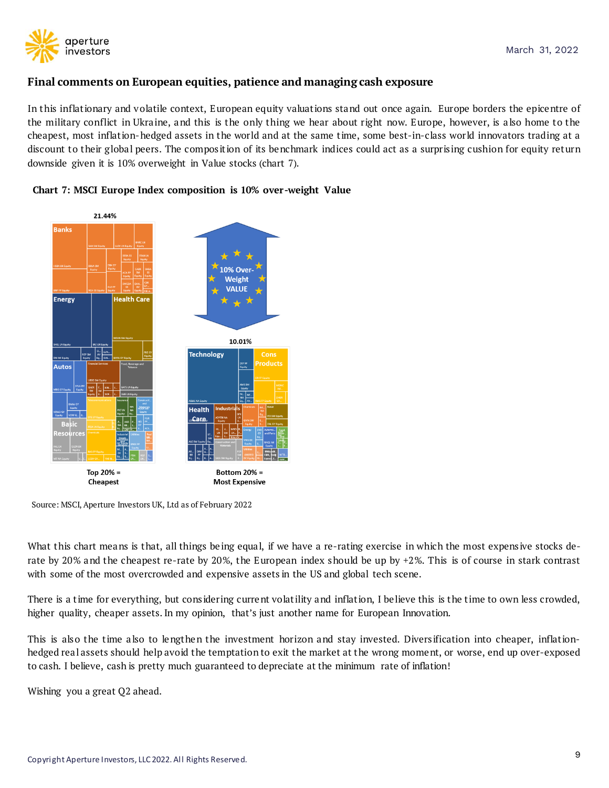

## **Final comments on European equities, patience and managing cash exposure**

In this inflationary and volatile context, European equity valuations stand out once again. Europe borders the epicentre of the military conflict in Ukra ine, and this is the only thing we hear about right now. Europe, however, is a lso home to the cheapest, most inflation-hedged assets in the world and at the same time, some best-in-class world innovators trading at a discount to their global peers. The composition of its benchmark indices could act as a surprising cushion for equity return downside given it is 10% overweight in Value stocks (chart 7).





Source: MSCI, Aperture Investors UK, Ltd as of February 2022

What this chart means is that, all things being equal, if we have a re-rating exercise in which the most expensive stocks derate by 20% and the cheapest re-rate by 20%, the European index should be up by +2%. This is of course in stark contrast with some of the most overcrowded and expensive assets in the US and global tech scene.

There is a time for everything, but considering current volatility and inflation, I believe this is the time to own less crowded, higher quality, cheaper assets. In my opinion, that's just another name for European Innovation.

This is also the time also to lengthen the investment horizon and stay invested. Diversification into cheaper, inflationhedged rea l assets should help avoid the temptation to exit the market at the wrong moment, or worse, end up over-exposed to cash. I believe, cash is pretty much guaranteed to depreciate at the minimum rate of inflation!

Wishing you a great Q2 ahead.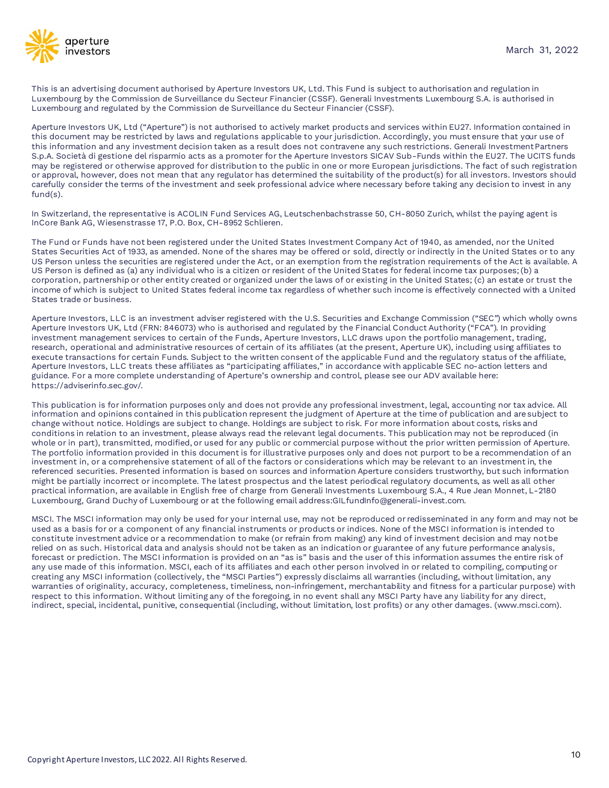

This is an advertising document authorised by Aperture Investors UK, Ltd. This Fund is subject to authorisation and regulation in Luxembourg by the Commission de Surveillance du Secteur Financier (CSSF). Generali Investments Luxembourg S.A. is authorised in Luxembourg and regulated by the Commission de Surveillance du Secteur Financier (CSSF).

Aperture Investors UK, Ltd ("Aperture") is not authorised to actively market products and services within EU27. Information contained in this document may be restricted by laws and regulations applicable to your jurisdiction. Accordingly, you must ensure that your use of this information and any investment decision taken as a result does not contravene any such restrictions. Generali InvestmentPartners S.p.A. Società di gestione del risparmio acts as a promoter for the Aperture Investors SICAV Sub-Funds within the EU27. The UCITS funds may be registered or otherwise approved for distribution to the public in one or more European jurisdictions. The fact of such registration or approval, however, does not mean that any regulator has determined the suitability of the product(s) for all investors. Investors should carefully consider the terms of the investment and seek professional advice where necessary before taking any decision to invest in any fund(s).

In Switzerland, the representative is ACOLIN Fund Services AG, Leutschenbachstrasse 50, CH-8050 Zurich, whilst the paying agent is InCore Bank AG, Wiesenstrasse 17, P.O. Box, CH-8952 Schlieren.

The Fund or Funds have not been registered under the United States Investment Company Act of 1940, as amended, nor the United States Securities Act of 1933, as amended. None of the shares may be offered or sold, directly or indirectly in the United States or to any US Person unless the securities are registered under the Act, or an exemption from the registration requirements of the Act is available. A US Person is defined as (a) any individual who is a citizen or resident of the United States for federal income tax purposes;(b) a corporation, partnership or other entity created or organized under the laws of or existing in the United States; (c) an estate or trust the income of which is subject to United States federal income tax regardless of whether such income is effectively connected with a United States trade or business.

Aperture Investors, LLC is an investment adviser registered with the U.S. Securities and Exchange Commission ("SEC") which wholly owns Aperture Investors UK, Ltd (FRN: 846073) who is authorised and regulated by the Financial Conduct Authority ("FCA"). In providing investment management services to certain of the Funds, Aperture Investors, LLC draws upon the portfolio management, trading, research, operational and administrative resources of certain of its affiliates (at the present, Aperture UK), including using affiliates to execute transactions for certain Funds. Subject to the written consent of the applicable Fund and the regulatory status of the affiliate, Aperture Investors, LLC treats these affiliates as "participating affiliates," in accordance with applicable SEC no-action letters and guidance. For a more complete understanding of Aperture's ownership and control, please see our ADV available here: https://adviserinfo.sec.gov/.

This publication is for information purposes only and does not provide any professional investment, legal, accounting nor tax advice. All information and opinions contained in this publication represent the judgment of Aperture at the time of publication and are subject to change without notice. Holdings are subject to change. Holdings are subject to risk. For more information about costs, risks and conditions in relation to an investment, please always read the relevant legal documents. This publication may not be reproduced (in whole or in part), transmitted, modified, or used for any public or commercial purpose without the prior written permission of Aperture. The portfolio information provided in this document is for illustrative purposes only and does not purport to be a recommendation of an investment in, or a comprehensive statement of all of the factors or considerations which may be relevant to an investment in, the referenced securities. Presented information is based on sources and information Aperture considers trustworthy, but such information might be partially incorrect or incomplete. The latest prospectus and the latest periodical regulatory documents, as well as all other practical information, are available in English free of charge from Generali Investments Luxembourg S.A., 4 Rue Jean Monnet, L-2180 Luxembourg, Grand Duchy of Luxembourg or at the following email address:GILfundInfo@generali-invest.com.

MSCI. The MSCI information may only be used for your internal use, may not be reproduced or redisseminated in any form and may not be used as a basis for or a component of any financial instruments or products or indices. None of the MSCI information is intended to constitute investment advice or a recommendation to make (or refrain from making) any kind of investment decision and may notbe relied on as such. Historical data and analysis should not be taken as an indication or guarantee of any future performance analysis, forecast or prediction. The MSCI information is provided on an "as is" basis and the user of this information assumes the entire risk of any use made of this information. MSCI, each of its affiliates and each other person involved in or related to compiling, computing or creating any MSCI information (collectively, the "MSCI Parties") expressly disclaims all warranties (including, without limitation, any warranties of originality, accuracy, completeness, timeliness, non-infringement, merchantability and fitness for a particular purpose) with respect to this information. Without limiting any of the foregoing, in no event shall any MSCI Party have any liability for any direct, indirect, special, incidental, punitive, consequential (including, without limitation, lost profits) or any other damages. (www.msci.com).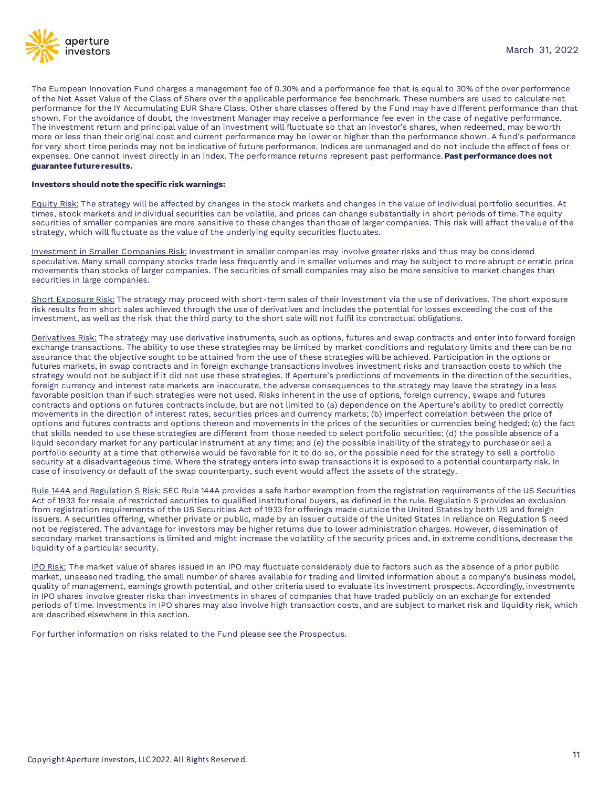

The European Innovation Fund charges a management fee of 0.30% and a performance fee that is equal to 30% of the over performance of the Net Asset Value of the Class of Share over the applicable performance fee benchmark. These numbers are used to calculate net performance for the IY Accumulating EUR Share Class. Other share classes offered by the Fund may have different performance than that shown. For the avoidance of doubt, the Investment Manager may receive a performance fee even in the case of negative performance. The investment return and principal value of an investment will fluctuate so that an investor's shares, when redeemed, may beworth more or less than their original cost and current performance may be lower or higher than the performance shown. A fund's performance for very short time periods may not be indicative of future performance. Indices are unmanaged and do not include the effect of fees or expenses. One cannot invest directly in an index. The performance returns represent past performance. **Past performance does not guarantee future results.**

#### **Investors should note the specific risk warnings:**

Equity Risk: The strategy will be affected by changes in the stock markets and changes in the value of individual portfolio securities. At times, stock markets and individual securities can be volatile, and prices can change substantially in short periods of time. The equity securities of smaller companies are more sensitive to these changes than those of larger companies. This risk will affect the value of the strategy, which will fluctuate as the value of the underlying equity securities fluctuates.

Investment in Smaller Companies Risk: Investment in smaller companies may involve greater risks and thus may be considered speculative. Many small company stocks trade less frequently and in smaller volumes and may be subject to more abrupt or erratic price movements than stocks of larger companies. The securities of small companies may also be more sensitive to market changes than securities in large companies.

Short Exposure Risk: The strategy may proceed with short-term sales of their investment via the use of derivatives. The short exposure risk results from short sales achieved through the use of derivatives and includes the potential for losses exceeding the cost of the investment, as well as the risk that the third party to the short sale will not fulfil its contractual obligations.

Derivatives Risk: The strategy may use derivative instruments, such as options, futures and swap contracts and enter into forward foreign exchange transactions. The ability to use these strategies may be limited by market conditions and regulatory limits and there can be no assurance that the objective sought to be attained from the use of these strategies will be achieved. Participation in the options or futures markets, in swap contracts and in foreign exchange transactions involves investment risks and transaction costs to which the strategy would not be subject if it did not use these strategies. If Aperture's predictions of movements in the direction of the securities, foreign currency and interest rate markets are inaccurate, the adverse consequences to the strategy may leave the strategy in a less favorable position than if such strategies were not used. Risks inherent in the use of options, foreign currency, swaps and futures contracts and options on futures contracts include, but are not limited to (a) dependence on the Aperture's ability to predict correctly movements in the direction of interest rates, securities prices and currency markets; (b) imperfect correlation between the price of options and futures contracts and options thereon and movements in the prices of the securities or currencies being hedged; (c) the fact that skills needed to use these strategies are different from those needed to select portfolio securities; (d) the possible absence of a liquid secondary market for any particular instrument at any time; and (e) the possible inability of the strategy to purchaseor sell a portfolio security at a time that otherwise would be favorable for it to do so, or the possible need for the strategy to sell a portfolio security at a disadvantageous time. Where the strategy enters into swap transactions it is exposed to a potential counterparty risk. In case of insolvency or default of the swap counterparty, such event would affect the assets of the strategy.

Rule 144A and Regulation S Risk: SEC Rule 144A provides a safe harbor exemption from the registration requirements of the US Securities Act of 1933 for resale of restricted securities to qualified institutional buyers, as defined in the rule. Regulation S provides an exclusion from registration requirements of the US Securities Act of 1933 for offerings made outside the United States by both US and foreign issuers. A securities offering, whether private or public, made by an issuer outside of the United States in reliance on Regulation S need not be registered. The advantage for investors may be higher returns due to lower administration charges. However, dissemination of secondary market transactions is limited and might increase the volatility of the security prices and, in extreme conditions, decrease the liquidity of a particular security.

IPO Risk: The market value of shares issued in an IPO may fluctuate considerably due to factors such as the absence of a prior public market, unseasoned trading, the small number of shares available for trading and limited information about a company's business model, quality of management, earnings growth potential, and other criteria used to evaluate its investment prospects. Accordingly, investments in IPO shares involve greater risks than investments in shares of companies that have traded publicly on an exchange for extended periods of time. Investments in IPO shares may also involve high transaction costs, and are subject to market risk and liquidity risk, which are described elsewhere in this section.

For further information on risks related to the Fund please see the Prospectus.